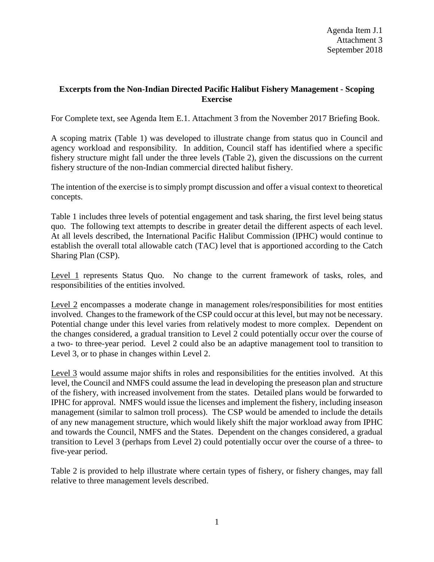## **Excerpts from the Non-Indian Directed Pacific Halibut Fishery Management - Scoping Exercise**

For Complete text, see Agenda Item E.1. Attachment 3 from the November 2017 Briefing Book.

A scoping matrix (Table 1) was developed to illustrate change from status quo in Council and agency workload and responsibility. In addition, Council staff has identified where a specific fishery structure might fall under the three levels (Table 2), given the discussions on the current fishery structure of the non-Indian commercial directed halibut fishery.

The intention of the exercise is to simply prompt discussion and offer a visual context to theoretical concepts.

Table 1 includes three levels of potential engagement and task sharing, the first level being status quo. The following text attempts to describe in greater detail the different aspects of each level. At all levels described, the International Pacific Halibut Commission (IPHC) would continue to establish the overall total allowable catch (TAC) level that is apportioned according to the Catch Sharing Plan (CSP).

Level 1 represents Status Quo. No change to the current framework of tasks, roles, and responsibilities of the entities involved.

Level 2 encompasses a moderate change in management roles/responsibilities for most entities involved. Changes to the framework of the CSP could occur at this level, but may not be necessary. Potential change under this level varies from relatively modest to more complex. Dependent on the changes considered, a gradual transition to Level 2 could potentially occur over the course of a two- to three-year period. Level 2 could also be an adaptive management tool to transition to Level 3, or to phase in changes within Level 2.

Level 3 would assume major shifts in roles and responsibilities for the entities involved. At this level, the Council and NMFS could assume the lead in developing the preseason plan and structure of the fishery, with increased involvement from the states. Detailed plans would be forwarded to IPHC for approval. NMFS would issue the licenses and implement the fishery, including inseason management (similar to salmon troll process). The CSP would be amended to include the details of any new management structure, which would likely shift the major workload away from IPHC and towards the Council, NMFS and the States. Dependent on the changes considered, a gradual transition to Level 3 (perhaps from Level 2) could potentially occur over the course of a three- to five-year period.

Table 2 is provided to help illustrate where certain types of fishery, or fishery changes, may fall relative to three management levels described.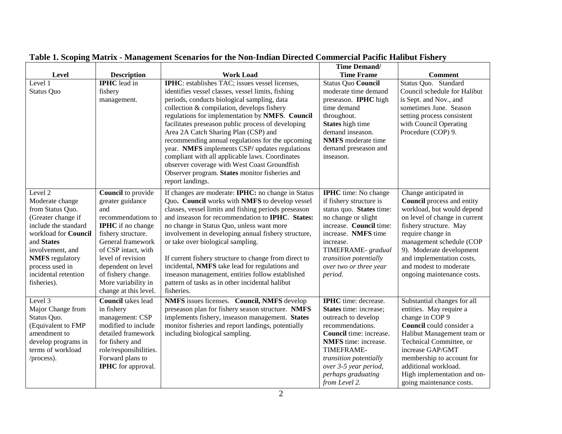|                                                                                                                                                                                                                                            |                                                                                                                                                                                                                                                                                    |                                                                                                                                                                                                                                                                                                                                                                                                                                                                                                                                                                                                                                          | <b>Time Demand/</b>                                                                                                                                                                                                                                                |                                                                                                                                                                                                                                                                                                                       |
|--------------------------------------------------------------------------------------------------------------------------------------------------------------------------------------------------------------------------------------------|------------------------------------------------------------------------------------------------------------------------------------------------------------------------------------------------------------------------------------------------------------------------------------|------------------------------------------------------------------------------------------------------------------------------------------------------------------------------------------------------------------------------------------------------------------------------------------------------------------------------------------------------------------------------------------------------------------------------------------------------------------------------------------------------------------------------------------------------------------------------------------------------------------------------------------|--------------------------------------------------------------------------------------------------------------------------------------------------------------------------------------------------------------------------------------------------------------------|-----------------------------------------------------------------------------------------------------------------------------------------------------------------------------------------------------------------------------------------------------------------------------------------------------------------------|
| Level                                                                                                                                                                                                                                      | <b>Description</b>                                                                                                                                                                                                                                                                 | <b>Work Load</b>                                                                                                                                                                                                                                                                                                                                                                                                                                                                                                                                                                                                                         | <b>Time Frame</b>                                                                                                                                                                                                                                                  | <b>Comment</b>                                                                                                                                                                                                                                                                                                        |
| Level 1<br><b>Status Quo</b>                                                                                                                                                                                                               | <b>IPHC</b> lead in<br>fishery<br>management.                                                                                                                                                                                                                                      | <b>IPHC</b> : establishes TAC; issues vessel licenses,<br>identifies vessel classes, vessel limits, fishing<br>periods, conducts biological sampling, data<br>collection & compilation, develops fishery<br>regulations for implementation by NMFS. Council<br>facilitates preseason public process of developing<br>Area 2A Catch Sharing Plan (CSP) and<br>recommending annual regulations for the upcoming<br>year. NMFS implements CSP/ updates regulations<br>compliant with all applicable laws. Coordinates<br>observer coverage with West Coast Groundfish<br>Observer program. States monitor fisheries and<br>report landings. | Status Quo Council<br>moderate time demand<br>preseason. IPHC high<br>time demand<br>throughout.<br>States high time<br>demand inseason.<br><b>NMFS</b> moderate time<br>demand preseason and<br>inseason.                                                         | Status Quo. Standard<br>Council schedule for Halibut<br>is Sept. and Nov., and<br>sometimes June. Season<br>setting process consistent<br>with Council Operating<br>Procedure (COP) 9.                                                                                                                                |
| Level 2<br>Moderate change<br>from Status Quo.<br>(Greater change if<br>include the standard<br>workload for Council<br>and States<br>involvement, and<br><b>NMFS</b> regulatory<br>process used in<br>incidental retention<br>fisheries). | Council to provide<br>greater guidance<br>and<br>recommendations to<br><b>IPHC</b> if no change<br>fishery structure.<br>General framework<br>of CSP intact, with<br>level of revision<br>dependent on level<br>of fishery change.<br>More variability in<br>change at this level. | If changes are moderate: IPHC: no change in Status<br>Quo. Council works with NMFS to develop vessel<br>classes, vessel limits and fishing periods preseason<br>and inseason for recommendation to IPHC. States:<br>no change in Status Quo, unless want more<br>involvement in developing annual fishery structure,<br>or take over biological sampling.<br>If current fishery structure to change from direct to<br>incidental, NMFS take lead for regulations and<br>inseason management, entities follow established<br>pattern of tasks as in other incidental halibut<br>fisheries.                                                | <b>IPHC</b> time: No change<br>if fishery structure is<br>status quo. States time:<br>no change or slight<br>increase. Council time:<br>increase. NMFS time<br>increase.<br>TIMEFRAME- gradual<br>transition potentially<br>over two or three year<br>period.      | Change anticipated in<br><b>Council</b> process and entity<br>workload, but would depend<br>on level of change in current<br>fishery structure. May<br>require change in<br>management schedule (COP<br>9). Moderate development<br>and implementation costs,<br>and modest to moderate<br>ongoing maintenance costs. |
| Level 3<br>Major Change from<br>Status Quo.<br>(Equivalent to FMP<br>amendment to<br>develop programs in<br>terms of workload<br>/process).                                                                                                | <b>Council</b> takes lead<br>in fishery<br>management: CSP<br>modified to include<br>detailed framework<br>for fishery and<br>role/responsibilities.<br>Forward plans to<br><b>IPHC</b> for approval.                                                                              | NMFS issues licenses. Council, NMFS develop<br>preseason plan for fishery season structure. NMFS<br>implements fishery, inseason management. States<br>monitor fisheries and report landings, potentially<br>including biological sampling.                                                                                                                                                                                                                                                                                                                                                                                              | <b>IPHC</b> time: decrease.<br>States time: increase;<br>outreach to develop<br>recommendations.<br><b>Council</b> time: increase.<br>NMFS time: increase.<br>TIMEFRAME-<br>transition potentially<br>over 3-5 year period,<br>perhaps graduating<br>from Level 2. | Substantial changes for all<br>entities. May require a<br>change in COP 9<br>Council could consider a<br>Halibut Management team or<br>Technical Committee, or<br>increase GAP/GMT<br>membership to account for<br>additional workload.<br>High implementation and on-<br>going maintenance costs.                    |

**Table 1. Scoping Matrix - Management Scenarios for the Non-Indian Directed Commercial Pacific Halibut Fishery**